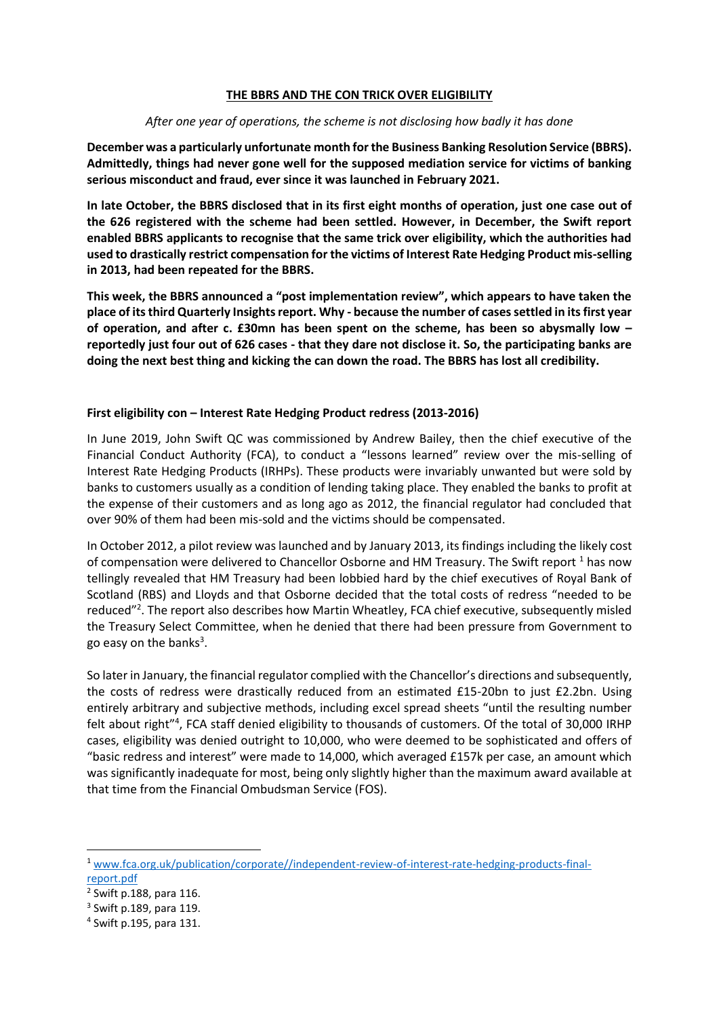### **THE BBRS AND THE CON TRICK OVER ELIGIBILITY**

#### *After one year of operations, the scheme is not disclosing how badly it has done*

**December was a particularly unfortunate month for the Business Banking Resolution Service (BBRS). Admittedly, things had never gone well for the supposed mediation service for victims of banking serious misconduct and fraud, ever since it was launched in February 2021.** 

**In late October, the BBRS disclosed that in its first eight months of operation, just one case out of the 626 registered with the scheme had been settled. However, in December, the Swift report enabled BBRS applicants to recognise that the same trick over eligibility, which the authorities had used to drastically restrict compensation for the victims of Interest Rate Hedging Product mis-selling in 2013, had been repeated for the BBRS.**

**This week, the BBRS announced a "post implementation review", which appears to have taken the place of its third Quarterly Insights report. Why - because the number of cases settled in its first year of operation, and after c. £30mn has been spent on the scheme, has been so abysmally low – reportedly just four out of 626 cases - that they dare not disclose it. So, the participating banks are doing the next best thing and kicking the can down the road. The BBRS has lost all credibility.** 

### **First eligibility con – Interest Rate Hedging Product redress (2013-2016)**

In June 2019, John Swift QC was commissioned by Andrew Bailey, then the chief executive of the Financial Conduct Authority (FCA), to conduct a "lessons learned" review over the mis-selling of Interest Rate Hedging Products (IRHPs). These products were invariably unwanted but were sold by banks to customers usually as a condition of lending taking place. They enabled the banks to profit at the expense of their customers and as long ago as 2012, the financial regulator had concluded that over 90% of them had been mis-sold and the victims should be compensated.

In October 2012, a pilot review was launched and by January 2013, its findings including the likely cost of compensation were delivered to Chancellor Osborne and HM Treasury. The Swift report <sup>1</sup> has now tellingly revealed that HM Treasury had been lobbied hard by the chief executives of Royal Bank of Scotland (RBS) and Lloyds and that Osborne decided that the total costs of redress "needed to be reduced"<sup>2</sup>. The report also describes how Martin Wheatley, FCA chief executive, subsequently misled the Treasury Select Committee, when he denied that there had been pressure from Government to go easy on the banks<sup>3</sup>.

So later in January, the financial regulator complied with the Chancellor's directions and subsequently, the costs of redress were drastically reduced from an estimated £15-20bn to just £2.2bn. Using entirely arbitrary and subjective methods, including excel spread sheets "until the resulting number felt about right"<sup>4</sup>, FCA staff denied eligibility to thousands of customers. Of the total of 30,000 IRHP cases, eligibility was denied outright to 10,000, who were deemed to be sophisticated and offers of "basic redress and interest" were made to 14,000, which averaged £157k per case, an amount which was significantly inadequate for most, being only slightly higher than the maximum award available at that time from the Financial Ombudsman Service (FOS).

<sup>1</sup> [www.fca.org.uk/publication/corporate//independent-review-of-interest-rate-hedging-products-final](http://www.fca.org.uk/publication/corporate/independent-review-of-interest-rate-hedging-products-final-report.pdf)[report.pdf](http://www.fca.org.uk/publication/corporate/independent-review-of-interest-rate-hedging-products-final-report.pdf)

<sup>2</sup> Swift p.188, para 116.

<sup>3</sup> Swift p.189, para 119.

<sup>4</sup> Swift p.195, para 131.